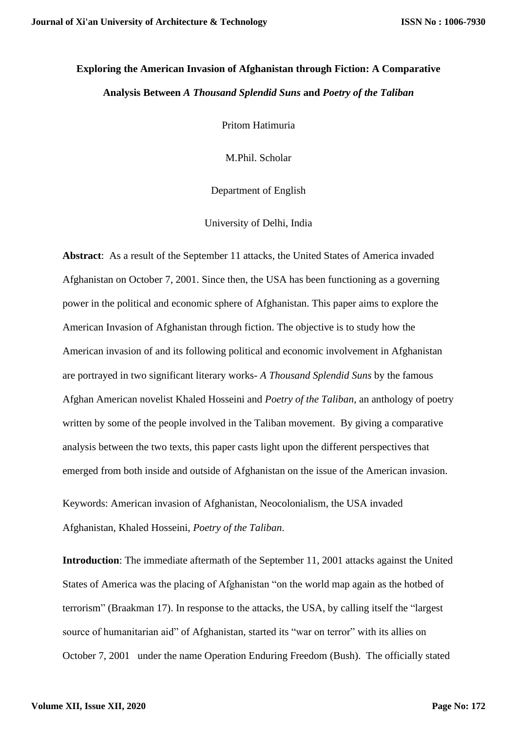## **Exploring the American Invasion of Afghanistan through Fiction: A Comparative Analysis Between** *A Thousand Splendid Suns* **and** *Poetry of the Taliban*

Pritom Hatimuria

M.Phil. Scholar

Department of English

University of Delhi, India

**Abstract**: As a result of the September 11 attacks, the United States of America invaded Afghanistan on October 7, 2001. Since then, the USA has been functioning as a governing power in the political and economic sphere of Afghanistan. This paper aims to explore the American Invasion of Afghanistan through fiction. The objective is to study how the American invasion of and its following political and economic involvement in Afghanistan are portrayed in two significant literary works- *A Thousand Splendid Suns* by the famous Afghan American novelist Khaled Hosseini and *Poetry of the Taliban*, an anthology of poetry written by some of the people involved in the Taliban movement. By giving a comparative analysis between the two texts, this paper casts light upon the different perspectives that emerged from both inside and outside of Afghanistan on the issue of the American invasion.

Keywords: American invasion of Afghanistan, Neocolonialism, the USA invaded Afghanistan, Khaled Hosseini, *Poetry of the Taliban*.

**Introduction**: The immediate aftermath of the September 11, 2001 attacks against the United States of America was the placing of Afghanistan "on the world map again as the hotbed of terrorism" (Braakman 17). In response to the attacks, the USA, by calling itself the "largest source of humanitarian aid" of Afghanistan, started its "war on terror" with its allies on October 7, 2001 under the name Operation Enduring Freedom (Bush). The officially stated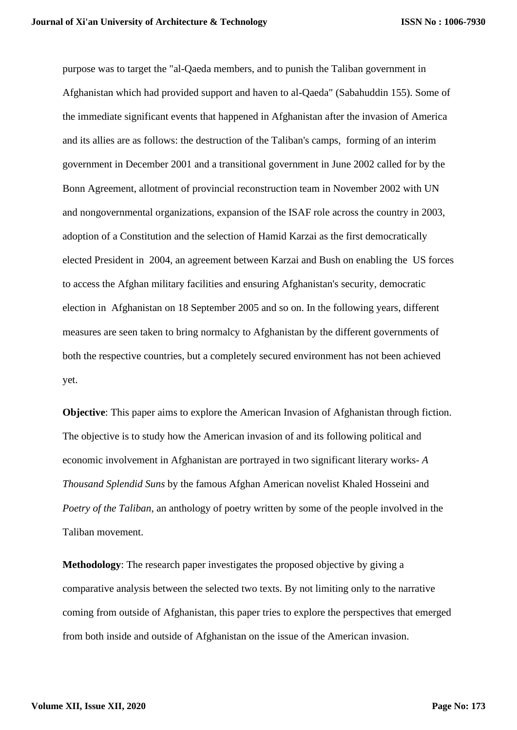purpose was to target the "al-Qaeda members, and to punish the Taliban government in Afghanistan which had provided support and haven to al-Qaeda" (Sabahuddin 155). Some of the immediate significant events that happened in Afghanistan after the invasion of America and its allies are as follows: the destruction of the Taliban's camps, forming of an interim government in December 2001 and a transitional government in June 2002 called for by the Bonn Agreement, allotment of provincial reconstruction team in November 2002 with UN and nongovernmental organizations, expansion of the ISAF role across the country in 2003, adoption of a Constitution and the selection of Hamid Karzai as the first democratically elected President in 2004, an agreement between Karzai and Bush on enabling the US forces to access the Afghan military facilities and ensuring Afghanistan's security, democratic election in Afghanistan on 18 September 2005 and so on. In the following years, different measures are seen taken to bring normalcy to Afghanistan by the different governments of both the respective countries, but a completely secured environment has not been achieved yet.

**Objective**: This paper aims to explore the American Invasion of Afghanistan through fiction. The objective is to study how the American invasion of and its following political and economic involvement in Afghanistan are portrayed in two significant literary works- *A Thousand Splendid Suns* by the famous Afghan American novelist Khaled Hosseini and *Poetry of the Taliban*, an anthology of poetry written by some of the people involved in the Taliban movement.

**Methodology**: The research paper investigates the proposed objective by giving a comparative analysis between the selected two texts. By not limiting only to the narrative coming from outside of Afghanistan, this paper tries to explore the perspectives that emerged from both inside and outside of Afghanistan on the issue of the American invasion.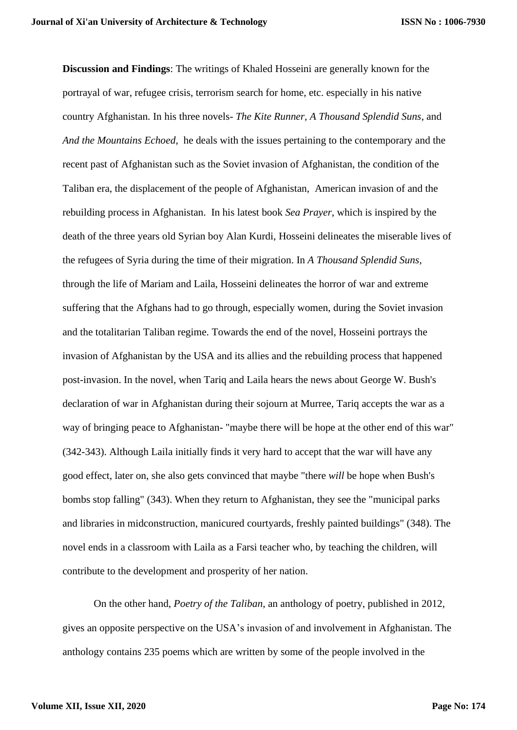**Discussion and Findings**: The writings of Khaled Hosseini are generally known for the portrayal of war, refugee crisis, terrorism search for home, etc. especially in his native country Afghanistan. In his three novels- *The Kite Runner, A Thousand Splendid Suns*, and *And the Mountains Echoed*, he deals with the issues pertaining to the contemporary and the recent past of Afghanistan such as the Soviet invasion of Afghanistan, the condition of the Taliban era, the displacement of the people of Afghanistan, American invasion of and the rebuilding process in Afghanistan. In his latest book *Sea Prayer*, which is inspired by the death of the three years old Syrian boy Alan Kurdi, Hosseini delineates the miserable lives of the refugees of Syria during the time of their migration. In *A Thousand Splendid Suns*, through the life of Mariam and Laila, Hosseini delineates the horror of war and extreme suffering that the Afghans had to go through, especially women, during the Soviet invasion and the totalitarian Taliban regime. Towards the end of the novel, Hosseini portrays the invasion of Afghanistan by the USA and its allies and the rebuilding process that happened post-invasion. In the novel, when Tariq and Laila hears the news about George W. Bush's declaration of war in Afghanistan during their sojourn at Murree, Tariq accepts the war as a way of bringing peace to Afghanistan- "maybe there will be hope at the other end of this war" (342-343). Although Laila initially finds it very hard to accept that the war will have any good effect, later on, she also gets convinced that maybe "there *will* be hope when Bush's bombs stop falling" (343). When they return to Afghanistan, they see the "municipal parks and libraries in midconstruction, manicured courtyards, freshly painted buildings" (348). The novel ends in a classroom with Laila as a Farsi teacher who, by teaching the children, will contribute to the development and prosperity of her nation.

On the other hand, *Poetry of the Taliban*, an anthology of poetry, published in 2012, gives an opposite perspective on the USA's invasion of and involvement in Afghanistan. The anthology contains 235 poems which are written by some of the people involved in the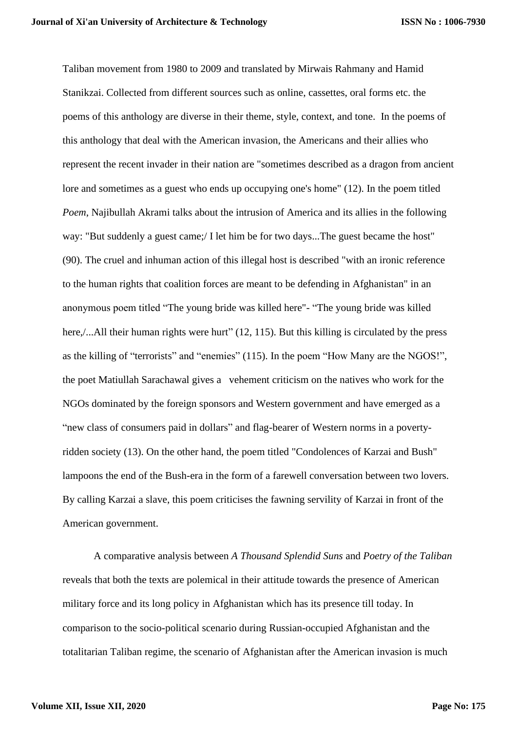Taliban movement from 1980 to 2009 and translated by Mirwais Rahmany and Hamid Stanikzai. Collected from different sources such as online, cassettes, oral forms etc. the poems of this anthology are diverse in their theme, style, context, and tone. In the poems of this anthology that deal with the American invasion, the Americans and their allies who represent the recent invader in their nation are "sometimes described as a dragon from ancient lore and sometimes as a guest who ends up occupying one's home" (12). In the poem titled *Poem*, Najibullah Akrami talks about the intrusion of America and its allies in the following way: "But suddenly a guest came;/ I let him be for two days...The guest became the host" (90). The cruel and inhuman action of this illegal host is described "with an ironic reference to the human rights that coalition forces are meant to be defending in Afghanistan" in an anonymous poem titled "The young bride was killed here"- "The young bride was killed here,/...All their human rights were hurt" (12, 115). But this killing is circulated by the press as the killing of "terrorists" and "enemies" (115). In the poem "How Many are the NGOS!", the poet Matiullah Sarachawal gives a vehement criticism on the natives who work for the NGOs dominated by the foreign sponsors and Western government and have emerged as a "new class of consumers paid in dollars" and flag-bearer of Western norms in a povertyridden society (13). On the other hand, the poem titled "Condolences of Karzai and Bush" lampoons the end of the Bush-era in the form of a farewell conversation between two lovers. By calling Karzai a slave, this poem criticises the fawning servility of Karzai in front of the American government.

A comparative analysis between *A Thousand Splendid Suns* and *Poetry of the Taliban* reveals that both the texts are polemical in their attitude towards the presence of American military force and its long policy in Afghanistan which has its presence till today. In comparison to the socio-political scenario during Russian-occupied Afghanistan and the totalitarian Taliban regime, the scenario of Afghanistan after the American invasion is much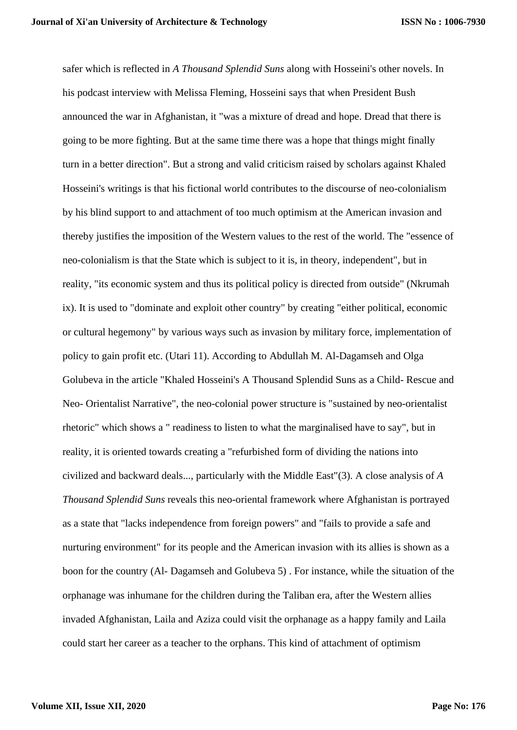safer which is reflected in *A Thousand Splendid Suns* along with Hosseini's other novels. In his podcast interview with Melissa Fleming, Hosseini says that when President Bush announced the war in Afghanistan, it "was a mixture of dread and hope. Dread that there is going to be more fighting. But at the same time there was a hope that things might finally turn in a better direction". But a strong and valid criticism raised by scholars against Khaled Hosseini's writings is that his fictional world contributes to the discourse of neo-colonialism by his blind support to and attachment of too much optimism at the American invasion and thereby justifies the imposition of the Western values to the rest of the world. The "essence of neo-colonialism is that the State which is subject to it is, in theory, independent", but in reality, "its economic system and thus its political policy is directed from outside" (Nkrumah ix). It is used to "dominate and exploit other country" by creating "either political, economic or cultural hegemony" by various ways such as invasion by military force, implementation of policy to gain profit etc. (Utari 11). According to Abdullah M. Al-Dagamseh and Olga Golubeva in the article "Khaled Hosseini's A Thousand Splendid Suns as a Child- Rescue and Neo- Orientalist Narrative", the neo-colonial power structure is "sustained by neo-orientalist rhetoric" which shows a " readiness to listen to what the marginalised have to say", but in reality, it is oriented towards creating a "refurbished form of dividing the nations into civilized and backward deals..., particularly with the Middle East"(3). A close analysis of *A Thousand Splendid Suns* reveals this neo-oriental framework where Afghanistan is portrayed as a state that "lacks independence from foreign powers" and "fails to provide a safe and nurturing environment" for its people and the American invasion with its allies is shown as a boon for the country (Al- Dagamseh and Golubeva 5) . For instance, while the situation of the orphanage was inhumane for the children during the Taliban era, after the Western allies invaded Afghanistan, Laila and Aziza could visit the orphanage as a happy family and Laila could start her career as a teacher to the orphans. This kind of attachment of optimism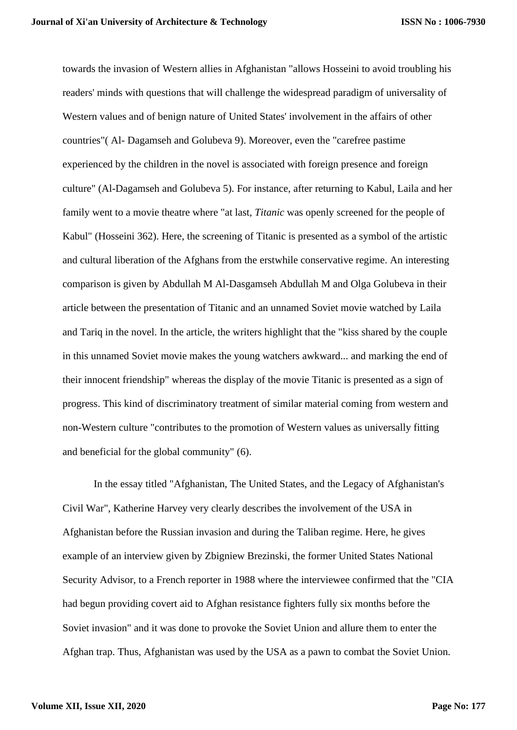towards the invasion of Western allies in Afghanistan "allows Hosseini to avoid troubling his readers' minds with questions that will challenge the widespread paradigm of universality of Western values and of benign nature of United States' involvement in the affairs of other countries"( Al- Dagamseh and Golubeva 9). Moreover, even the "carefree pastime experienced by the children in the novel is associated with foreign presence and foreign culture" (Al-Dagamseh and Golubeva 5). For instance, after returning to Kabul, Laila and her family went to a movie theatre where "at last, *Titanic* was openly screened for the people of Kabul" (Hosseini 362). Here, the screening of Titanic is presented as a symbol of the artistic and cultural liberation of the Afghans from the erstwhile conservative regime. An interesting comparison is given by Abdullah M Al-Dasgamseh Abdullah M and Olga Golubeva in their article between the presentation of Titanic and an unnamed Soviet movie watched by Laila and Tariq in the novel. In the article, the writers highlight that the "kiss shared by the couple in this unnamed Soviet movie makes the young watchers awkward... and marking the end of their innocent friendship" whereas the display of the movie Titanic is presented as a sign of progress. This kind of discriminatory treatment of similar material coming from western and non-Western culture "contributes to the promotion of Western values as universally fitting and beneficial for the global community" (6).

In the essay titled "Afghanistan, The United States, and the Legacy of Afghanistan's Civil War", Katherine Harvey very clearly describes the involvement of the USA in Afghanistan before the Russian invasion and during the Taliban regime. Here, he gives example of an interview given by Zbigniew Brezinski, the former United States National Security Advisor, to a French reporter in 1988 where the interviewee confirmed that the "CIA had begun providing covert aid to Afghan resistance fighters fully six months before the Soviet invasion" and it was done to provoke the Soviet Union and allure them to enter the Afghan trap. Thus, Afghanistan was used by the USA as a pawn to combat the Soviet Union.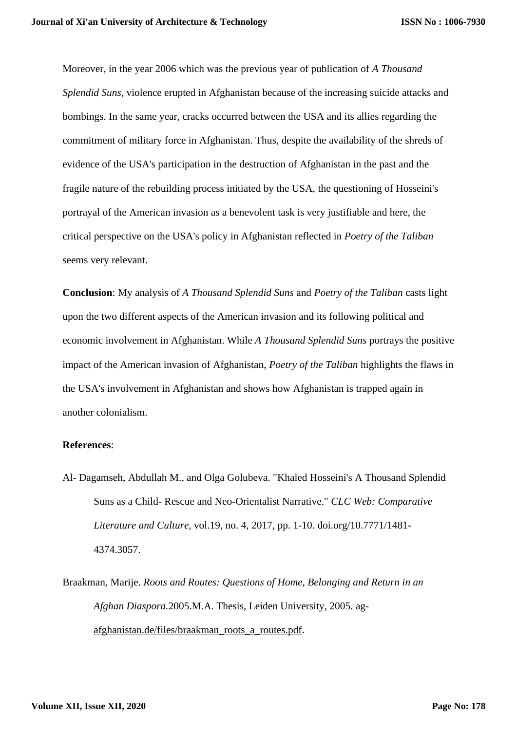Moreover, in the year 2006 which was the previous year of publication of *A Thousand Splendid Suns*, violence erupted in Afghanistan because of the increasing suicide attacks and bombings. In the same year, cracks occurred between the USA and its allies regarding the commitment of military force in Afghanistan. Thus, despite the availability of the shreds of evidence of the USA's participation in the destruction of Afghanistan in the past and the fragile nature of the rebuilding process initiated by the USA, the questioning of Hosseini's portrayal of the American invasion as a benevolent task is very justifiable and here, the critical perspective on the USA's policy in Afghanistan reflected in *Poetry of the Taliban* seems very relevant.

**Conclusion**: My analysis of *A Thousand Splendid Suns* and *Poetry of the Taliban* casts light upon the two different aspects of the American invasion and its following political and economic involvement in Afghanistan. While *A Thousand Splendid Suns* portrays the positive impact of the American invasion of Afghanistan, *Poetry of the Taliban* highlights the flaws in the USA's involvement in Afghanistan and shows how Afghanistan is trapped again in another colonialism.

## **References**:

- Al- Dagamseh, Abdullah M., and Olga Golubeva. "Khaled Hosseini's A Thousand Splendid Suns as a Child- Rescue and Neo-Orientalist Narrative." *CLC Web: Comparative Literature and Culture,* vol.19, no. 4, 2017, pp. 1-10. doi.org/10.7771/1481- 4374.3057.
- Braakman, Marije. *Roots and Routes: Questions of Home, Belonging and Return in an Afghan Diaspora.*2005.M.A. Thesis, Leiden University, 2005. [ag](http://ag-afghanistan.de/files/braakman_roots_a_routes.pdf)[afghanistan.de/files/braakman\\_roots\\_a\\_routes.pdf.](http://ag-afghanistan.de/files/braakman_roots_a_routes.pdf)